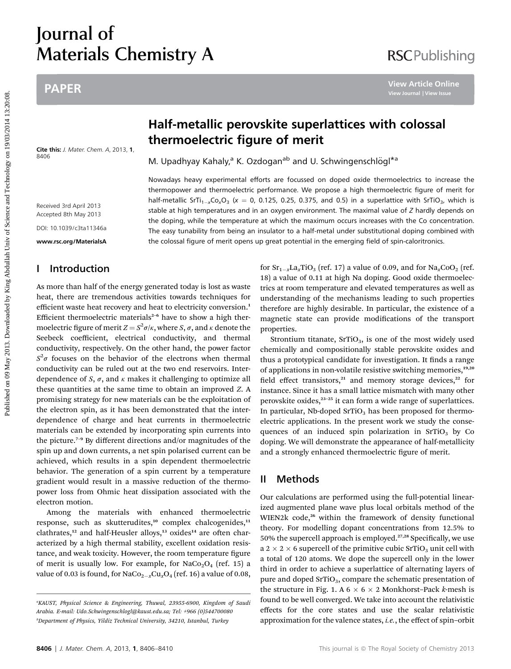## Journal of Materials Chemistry A

## PAPER

Cite this: J. Mater. Chem. A, 2013, 1, 8406

Received 3rd April 2013 Accepted 8th May 2013 DOI: 10.1039/c3ta11346a

w.rsc.org/MaterialsAdvances/MaterialsAdvances/MaterialsAdvances/MaterialsAdvances/MaterialsAdvances/MaterialsA

## I Introduction

As more than half of the energy generated today is lost as waste heat, there are tremendous activities towards techniques for efficient waste heat recovery and heat to electricity conversion.<sup>1</sup> Efficient thermoelectric materials<sup>2-6</sup> have to show a high thermoelectric figure of merit  $Z = S^2 \sigma / \kappa$ , where  $S$ ,  $\sigma$ , and  $\kappa$  denote the Seebeck coefficient, electrical conductivity, and thermal conductivity, respectively. On the other hand, the power factor  $S^2\sigma$  focuses on the behavior of the electrons when thermal conductivity can be ruled out at the two end reservoirs. Interdependence of S,  $\sigma$ , and  $\kappa$  makes it challenging to optimize all these quantities at the same time to obtain an improved Z. A promising strategy for new materials can be the exploitation of the electron spin, as it has been demonstrated that the interdependence of charge and heat currents in thermoelectric materials can be extended by incorporating spin currents into the picture.<sup>7-9</sup> By different directions and/or magnitudes of the spin up and down currents, a net spin polarised current can be achieved, which results in a spin dependent thermoelectric behavior. The generation of a spin current by a temperature gradient would result in a massive reduction of the thermopower loss from Ohmic heat dissipation associated with the electron motion. PAPER<br> **Public on 19/03/2012**<br> **Public on 19/03/2012**<br> **Public Content of the content of the content of the content of the content of the content of the content of the content of the content of the content of the content o** 

Among the materials with enhanced thermoelectric response, such as skutterudites,<sup>10</sup> complex chalcogenides,<sup>11</sup> clathrates,<sup>12</sup> and half-Heusler alloys,<sup>13</sup> oxides<sup>14</sup> are often characterized by a high thermal stability, excellent oxidation resistance, and weak toxicity. However, the room temperature figure of merit is usually low. For example, for  $NaCo<sub>2</sub>O<sub>4</sub>$  (ref. 15) a value of 0.03 is found, for  $NaCo_{2-x}Cu_{x}O_{4}$  (ref. 16) a value of 0.08,

# Nowadays heavy experimental efforts are focussed on doped oxide thermoelectrics to increase the thermopower and thermoelectric performance. We propose a high thermoelectric figure of merit for

half-metallic SrTi<sub>1-x</sub>Co<sub>x</sub>O<sub>3</sub> (x = 0, 0.125, 0.25, 0.375, and 0.5) in a superlattice with SrTiO<sub>3</sub>, which is stable at high temperatures and in an oxygen environment. The maximal value of  $Z$  hardly depends on the doping, while the temperature at which the maximum occurs increases with the Co concentration. The easy tunability from being an insulator to a half-metal under substitutional doping combined with the colossal figure of merit opens up great potential in the emerging field of spin-caloritronics.

thermoelectric figure of merit

M. Upadhyay Kahaly,<sup>a</sup> K. Ozdogan<sup>ab</sup> and U. Schwingenschlögl<sup>\*a</sup>

for  $Sr_{1-x}La_xTiO_3$  (ref. 17) a value of 0.09, and for  $Na_xCoO_2$  (ref. 18) a value of 0.11 at high Na doping. Good oxide thermoelectrics at room temperature and elevated temperatures as well as understanding of the mechanisms leading to such properties therefore are highly desirable. In particular, the existence of a magnetic state can provide modifications of the transport properties.

Strontium titanate,  $SrTiO<sub>3</sub>$ , is one of the most widely used chemically and compositionally stable perovskite oxides and thus a prototypical candidate for investigation. It finds a range of applications in non-volatile resistive switching memories,<sup>19,20</sup> field effect transistors,<sup>21</sup> and memory storage devices,<sup>22</sup> for instance. Since it has a small lattice mismatch with many other perovskite oxides,<sup>23-25</sup> it can form a wide range of superlattices. In particular, Nb-doped  $SrTiO<sub>3</sub>$  has been proposed for thermoelectric applications. In the present work we study the consequences of an induced spin polarization in  $SrriO<sub>3</sub>$  by Co doping. We will demonstrate the appearance of half-metallicity and a strongly enhanced thermoelectric figure of merit.

### II Methods

Our calculations are performed using the full-potential linearized augmented plane wave plus local orbitals method of the WIEN2k code,<sup>26</sup> within the framework of density functional theory. For modelling dopant concentrations from 12.5% to 50% the supercell approach is employed.<sup>27,28</sup> Specifically, we use a 2  $\times$  2  $\times$  6 supercell of the primitive cubic SrTiO<sub>3</sub> unit cell with a total of 120 atoms. We dope the supercell only in the lower third in order to achieve a superlattice of alternating layers of pure and doped  $SrTiO<sub>3</sub>$ , compare the schematic presentation of the structure in Fig. 1. A 6  $\times$  6  $\times$  2 Monkhorst–Pack *k*-mesh is found to be well converged. We take into account the relativistic effects for the core states and use the scalar relativistic approximation for the valence states, i.e., the effect of spin–orbit

## **RSCPublishing**

a KAUST, Physical Science & Engineering, Thuwal, 23955-6900, Kingdom of Saudi Arabia. E-mail: Udo.Schwingenschlogl@kaust.edu.sa; Tel: +966 (0)544700080 b Department of Physics, Yildiz Technical University, 34210, Istanbul, Turkey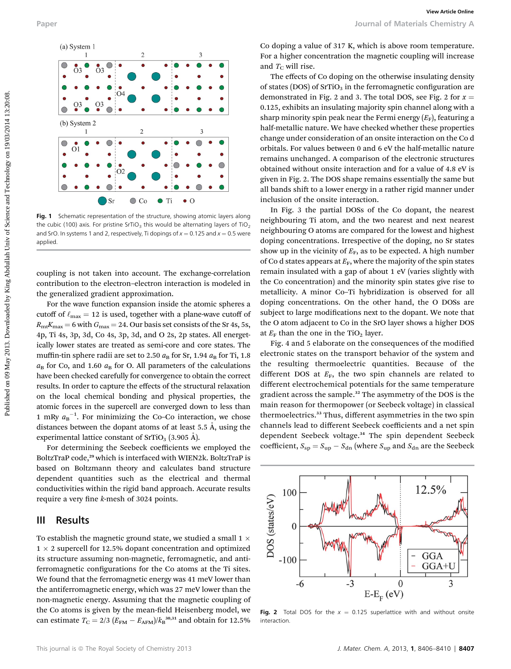

Fig. 1 Schematic representation of the structure, showing atomic layers along the cubic (100) axis. For pristine SrTiO<sub>3</sub> this would be alternating layers of TiO<sub>2</sub> and SrO. In systems 1 and 2, respectively, Ti dopings of  $x = 0.125$  and  $x = 0.5$  were applied.

coupling is not taken into account. The exchange-correlation contribution to the electron–electron interaction is modeled in the generalized gradient approximation.

For the wave function expansion inside the atomic spheres a cutoff of  $\ell_{\text{max}} = 12$  is used, together with a plane-wave cutoff of  $R_{\rm mt}K_{\rm max} = 6$  with  $G_{\rm max} = 24$ . Our basis set consists of the Sr 4s, 5s, 4p, Ti 4s, 3p, 3d, Co 4s, 3p, 3d, and O 2s, 2p states. All energetically lower states are treated as semi-core and core states. The muffin-tin sphere radii are set to 2.50  $a_B$  for Sr, 1.94  $a_B$  for Ti, 1.8  $a_{\rm B}$  for Co, and 1.60  $a_{\rm B}$  for O. All parameters of the calculations have been checked carefully for convergence to obtain the correct results. In order to capture the effects of the structural relaxation on the local chemical bonding and physical properties, the atomic forces in the supercell are converged down to less than 1 mRy  $a_B^{-1}$ . For minimizing the Co–Co interaction, we chose distances between the dopant atoms of at least  $5.5 \text{ Å}$ , using the experimental lattice constant of  $SfTo<sub>3</sub>$  (3.905 Å).

For determining the Seebeck coefficients we employed the BoltzTraP code,<sup>29</sup> which is interfaced with WIEN2k. BoltzTraP is based on Boltzmann theory and calculates band structure dependent quantities such as the electrical and thermal conductivities within the rigid band approach. Accurate results require a very fine  $k$ -mesh of 3024 points.

#### III Results

To establish the magnetic ground state, we studied a small  $1 \times$  $1 \times 2$  supercell for 12.5% dopant concentration and optimized its structure assuming non-magnetic, ferromagnetic, and antiferromagnetic configurations for the Co atoms at the Ti sites. We found that the ferromagnetic energy was 41 meV lower than the antiferromagnetic energy, which was 27 meV lower than the non-magnetic energy. Assuming that the magnetic coupling of the Co atoms is given by the mean-field Heisenberg model, we can estimate  $T_{\rm C} = 2/3 (E_{\rm FM} - E_{\rm AFM})/k_{\rm B}^{30,31}$  and obtain for 12.5%

Co doping a value of 317 K, which is above room temperature. For a higher concentration the magnetic coupling will increase and  $T_{\rm C}$  will rise.

The effects of Co doping on the otherwise insulating density of states (DOS) of  $SrTiO<sub>3</sub>$  in the ferromagnetic configuration are demonstrated in Fig. 2 and 3. The total DOS, see Fig. 2 for  $x =$ 0.125, exhibits an insulating majority spin channel along with a sharp minority spin peak near the Fermi energy  $(E_F)$ , featuring a half-metallic nature. We have checked whether these properties change under consideration of an onsite interaction on the Co d orbitals. For values between 0 and 6 eV the half-metallic nature remains unchanged. A comparison of the electronic structures obtained without onsite interaction and for a value of 4.8 eV is given in Fig. 2. The DOS shape remains essentially the same but all bands shift to a lower energy in a rather rigid manner under inclusion of the onsite interaction.

In Fig. 3 the partial DOSs of the Co dopant, the nearest neighbouring Ti atom, and the two nearest and next nearest neighbouring O atoms are compared for the lowest and highest doping concentrations. Irrespective of the doping, no Sr states show up in the vicinity of  $E_F$ , as to be expected. A high number of Co d states appears at  $E_F$ , where the majority of the spin states remain insulated with a gap of about 1 eV (varies slightly with the Co concentration) and the minority spin states give rise to metallicity. A minor Co–Ti hybridization is observed for all doping concentrations. On the other hand, the O DOSs are subject to large modifications next to the dopant. We note that the O atom adjacent to Co in the SrO layer shows a higher DOS at  $E_F$  than the one in the TiO<sub>2</sub> layer.

Fig. 4 and 5 elaborate on the consequences of the modified electronic states on the transport behavior of the system and the resulting thermoelectric quantities. Because of the different DOS at  $E_F$ , the two spin channels are related to different electrochemical potentials for the same temperature gradient across the sample.<sup>32</sup> The asymmetry of the DOS is the main reason for thermopower (or Seebeck voltage) in classical thermoelectrics.<sup>33</sup> Thus, different asymmetries in the two spin channels lead to different Seebeck coefficients and a net spin dependent Seebeck voltage.<sup>34</sup> The spin dependent Seebeck coefficient,  $S_{\rm sp} = S_{\rm up} - S_{\rm dn}$  (where  $S_{\rm up}$  and  $S_{\rm dn}$  are the Seebeck



Fig. 2 Total DOS for the  $x = 0.125$  superlattice with and without onsite interaction.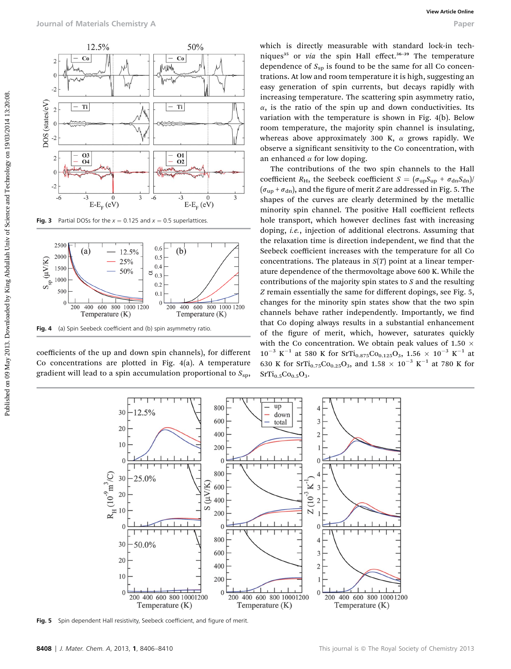

Fig. 3 Partial DOSs for the  $x = 0.125$  and  $x = 0.5$  superlattices.



coefficients of the up and down spin channels), for different Co concentrations are plotted in Fig. 4(a). A temperature gradient will lead to a spin accumulation proportional to  $S_{\text{SD}}$ ,

which is directly measurable with standard lock-in techniques<sup>35</sup> or via the spin Hall effect.<sup>36-39</sup> The temperature dependence of  $S_{\rm sp}$  is found to be the same for all Co concentrations. At low and room temperature it is high, suggesting an easy generation of spin currents, but decays rapidly with increasing temperature. The scattering spin asymmetry ratio,  $\alpha$ , is the ratio of the spin up and down conductivities. Its variation with the temperature is shown in Fig. 4(b). Below room temperature, the majority spin channel is insulating, whereas above approximately 300 K,  $\alpha$  grows rapidly. We observe a signicant sensitivity to the Co concentration, with an enhanced  $\alpha$  for low doping.

The contributions of the two spin channels to the Hall coefficient  $R_H$ , the Seebeck coefficient  $S = (\sigma_{up}S_{up} + \sigma_{dn}S_{dn})/k$  $(\sigma_{\text{un}} + \sigma_{\text{dn}})$ , and the figure of merit Z are addressed in Fig. 5. The shapes of the curves are clearly determined by the metallic minority spin channel. The positive Hall coefficient reflects hole transport, which however declines fast with increasing doping, i.e., injection of additional electrons. Assuming that the relaxation time is direction independent, we find that the Seebeck coefficient increases with the temperature for all Co concentrations. The plateaus in  $S(T)$  point at a linear temperature dependence of the thermovoltage above 600 K. While the contributions of the majority spin states to  $S$  and the resulting Z remain essentially the same for different dopings, see Fig. 5, changes for the minority spin states show that the two spin channels behave rather independently. Importantly, we find that Co doping always results in a substantial enhancement of the figure of merit, which, however, saturates quickly with the Co concentration. We obtain peak values of 1.50  $\times$  $10^{-3}$  K<sup>-1</sup> at 580 K for SrTi<sub>0.875</sub>Co<sub>0.125</sub>O<sub>3</sub>, 1.56 × 10<sup>-3</sup> K<sup>-1</sup> at 630 K for SrTi<sub>0.75</sub>Co<sub>0.25</sub>O<sub>3</sub>, and 1.58  $\times$  10<sup>-3</sup> K<sup>-1</sup> at 780 K for  $SrTi_{0.5}Co_{0.5}O_3$ . From the three control is the spectra on the spectra on the spectra of  $\frac{1}{2}$ <br>  $\frac{1}{2}$ <br>  $\frac{1}{2}$ <br>  $\frac{1}{2}$ <br>  $\frac{1}{2}$ <br>  $\frac{1}{2}$ <br>  $\frac{1}{2}$ <br>  $\frac{1}{2}$ <br>  $\frac{1}{2}$ <br>  $\frac{1}{2}$ <br>  $\frac{1}{2}$ <br>  $\frac{1}{2}$ <br>  $\frac{1}{2}$ <br>  $\frac{1}{2$ 



Fig. 5 Spin dependent Hall resistivity, Seebeck coefficient, and figure of merit.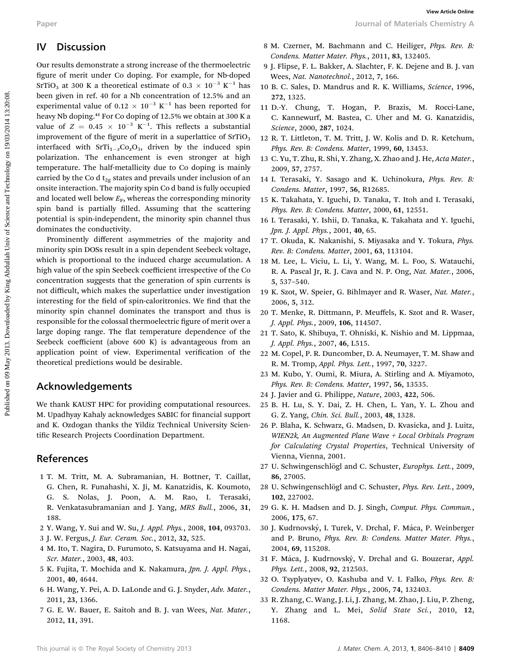## IV Discussion

Our results demonstrate a strong increase of the thermoelectric figure of merit under Co doping. For example, for Nb-doped SrTiO<sub>3</sub> at 300 K a theoretical estimate of 0.3  $\times$  10<sup>-3</sup> K<sup>-1</sup> has been given in ref. 40 for a Nb concentration of 12.5% and an experimental value of  $0.12 \times 10^{-3}$  K<sup>-1</sup> has been reported for heavy Nb doping.<sup>41</sup> For Co doping of 12.5% we obtain at 300 K a value of  $Z = 0.45 \times 10^{-3} \text{ K}^{-1}$ . This reflects a substantial improvement of the figure of merit in a superlattice of  $SrTiO<sub>3</sub>$ interfaced with  $SrTi_{1-x}Co_xO_3$ , driven by the induced spin polarization. The enhancement is even stronger at high temperature. The half-metallicity due to Co doping is mainly carried by the Co d  $t_{2g}$  states and prevails under inclusion of an onsite interaction. The majority spin Co d band is fully occupied and located well below  $E_F$ , whereas the corresponding minority spin band is partially filled. Assuming that the scattering potential is spin-independent, the minority spin channel thus dominates the conductivity. Puper<br>
Published one-metric of the contrast of the chermoclettic  $\mu$  and  $\mu$  and  $\mu$  and  $\mu$  and  $\mu$  and  $\mu$  and  $\mu$  and  $\mu$  and  $\mu$  and  $\mu$  and  $\mu$  and  $\mu$  and  $\mu$  and  $\mu$  and  $\mu$  and  $\mu$  and  $\mu$  and  $\mu$ 

Prominently different asymmetries of the majority and minority spin DOSs result in a spin dependent Seebeck voltage, which is proportional to the induced charge accumulation. A high value of the spin Seebeck coefficient irrespective of the Co concentration suggests that the generation of spin currents is not difficult, which makes the superlattice under investigation interesting for the field of spin-caloritronics. We find that the minority spin channel dominates the transport and thus is responsible for the colossal thermoelectric figure of merit over a large doping range. The flat temperature dependence of the Seebeck coefficient (above 600 K) is advantageous from an application point of view. Experimental verification of the theoretical predictions would be desirable.

## Acknowledgements

We thank KAUST HPC for providing computational resources. M. Upadhyay Kahaly acknowledges SABIC for financial support and K. Ozdogan thanks the Yildiz Technical University Scientific Research Projects Coordination Department.

## References

- 1 T. M. Tritt, M. A. Subramanian, H. Bottner, T. Caillat, G. Chen, R. Funahashi, X. Ji, M. Kanatzidis, K. Koumoto, G. S. Nolas, J. Poon, A. M. Rao, I. Terasaki, R. Venkatasubramanian and J. Yang, MRS Bull., 2006, 31, 188.
- 2 Y. Wang, Y. Sui and W. Su, J. Appl. Phys., 2008, 104, 093703.
- 3 J. W. Fergus, J. Eur. Ceram. Soc., 2012, 32, 525.
- 4 M. Ito, T. Nagira, D. Furumoto, S. Katsuyama and H. Nagai, Scr. Mater., 2003, 48, 403.
- 5 K. Fujita, T. Mochida and K. Nakamura, Jpn. J. Appl. Phys., 2001, 40, 4644.
- 6 H. Wang, Y. Pei, A. D. LaLonde and G. J. Snyder, Adv. Mater., 2011, 23, 1366.
- 7 G. E. W. Bauer, E. Saitoh and B. J. van Wees, Nat. Mater., 2012, 11, 391.

8 M. Czerner, M. Bachmann and C. Heiliger, Phys. Rev. B: Condens. Matter Mater. Phys., 2011, 83, 132405.

Paper Journal of Materials Chemistry A

- 9 J. Flipse, F. L. Bakker, A. Slachter, F. K. Dejene and B. J. van Wees, Nat. Nanotechnol., 2012, 7, 166.
- 10 B. C. Sales, D. Mandrus and R. K. Williams, Science, 1996, 272, 1325.
- 11 D.-Y. Chung, T. Hogan, P. Brazis, M. Rocci-Lane, C. Kannewurf, M. Bastea, C. Uher and M. G. Kanatzidis, Science, 2000, 287, 1024.
- 12 R. T. Littleton, T. M. Tritt, J. W. Kolis and D. R. Ketchum, Phys. Rev. B: Condens. Matter, 1999, 60, 13453.
- 13 C. Yu, T. Zhu, R. Shi, Y. Zhang, X. Zhao and J. He, Acta Mater., 2009, 57, 2757.
- 14 I. Terasaki, Y. Sasago and K. Uchinokura, Phys. Rev. B: Condens. Matter, 1997, 56, R12685.
- 15 K. Takahata, Y. Iguchi, D. Tanaka, T. Itoh and I. Terasaki, Phys. Rev. B: Condens. Matter, 2000, 61, 12551.
- 16 I. Terasaki, Y. Ishii, D. Tanaka, K. Takahata and Y. Iguchi, Jpn. J. Appl. Phys., 2001, 40, 65.
- 17 T. Okuda, K. Nakanishi, S. Miyasaka and Y. Tokura, Phys. Rev. B: Condens. Matter, 2001, 63, 113104.
- 18 M. Lee, L. Viciu, L. Li, Y. Wang, M. L. Foo, S. Watauchi, R. A. Pascal Jr, R. J. Cava and N. P. Ong, Nat. Mater., 2006, 5, 537–540.
- 19 K. Szot, W. Speier, G. Bihlmayer and R. Waser, Nat. Mater., 2006, 5, 312.
- 20 T. Menke, R. Dittmann, P. Meuffels, K. Szot and R. Waser, J. Appl. Phys., 2009, 106, 114507.
- 21 T. Sato, K. Shibuya, T. Ohniski, K. Nishio and M. Lippmaa, J. Appl. Phys., 2007, 46, L515.
- 22 M. Copel, P. R. Duncomber, D. A. Neumayer, T. M. Shaw and R. M. Tromp, Appl. Phys. Lett., 1997, 70, 3227.
- 23 M. Kubo, Y. Oumi, R. Miura, A. Stirling and A. Miyamoto, Phys. Rev. B: Condens. Matter, 1997, 56, 13535.
- 24 J. Javier and G. Philippe, Nature, 2003, 422, 506.
- 25 B. H. Lu, S. Y. Dai, Z. H. Chen, L. Yan, Y. L. Zhou and G. Z. Yang, Chin. Sci. Bull., 2003, 48, 1328.
- 26 P. Blaha, K. Schwarz, G. Madsen, D. Kvasicka, and J. Luitz, WIEN2k, An Augmented Plane Wave + Local Orbitals Program for Calculating Crystal Properties, Technical University of Vienna, Vienna, 2001.
- 27 U. Schwingenschlögl and C. Schuster, Europhys. Lett., 2009, 86, 27005.
- 28 U. Schwingenschlögl and C. Schuster, Phys. Rev. Lett., 2009, 102, 227002.
- 29 G. K. H. Madsen and D. J. Singh, Comput. Phys. Commun., 2006, 175, 67.
- 30 J. Kudrnovský, I. Turek, V. Drchal, F. Máca, P. Weinberger and P. Bruno, Phys. Rev. B: Condens. Matter Mater. Phys., 2004, 69, 115208.
- 31 F. Máca, J. Kudrnovský, V. Drchal and G. Bouzerar, Appl. Phys. Lett., 2008, 92, 212503.
- 32 O. Tsyplyatyev, O. Kashuba and V. I. Falko, Phys. Rev. B: Condens. Matter Mater. Phys., 2006, 74, 132403.
- 33 R. Zhang, C. Wang, J. Li, J. Zhang, M. Zhao, J. Liu, P. Zheng, Y. Zhang and L. Mei, Solid State Sci., 2010, 12, 1168.